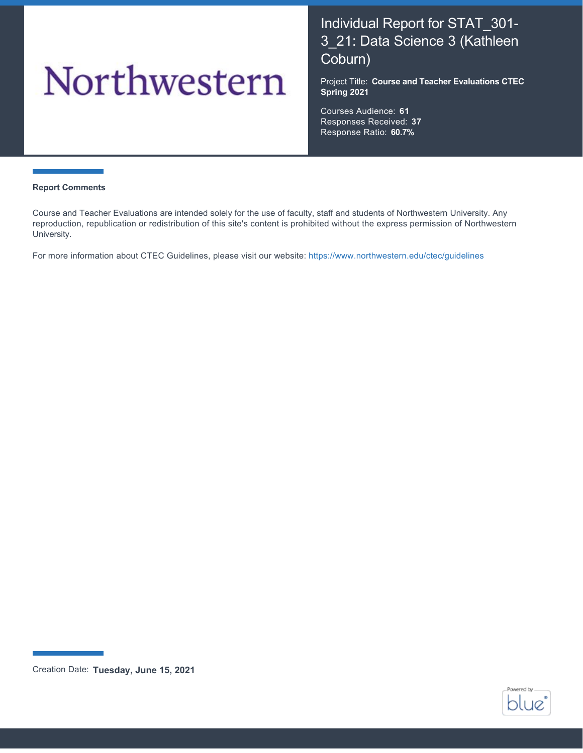# Northwestern

# Individual Report for STAT\_301- 3\_21: Data Science 3 (Kathleen Coburn)

Project Title: **Course and Teacher Evaluations CTEC Spring 2021**

Courses Audience: **61** Responses Received: **37** Response Ratio: **60.7%**

#### **Report Comments**

Course and Teacher Evaluations are intended solely for the use of faculty, staff and students of Northwestern University. Any reproduction, republication or redistribution of this site's content is prohibited without the express permission of Northwestern University.

For more information about CTEC Guidelines, please visit our website:<https://www.northwestern.edu/ctec/guidelines>



Creation Date: **Tuesday, June 15, 2021**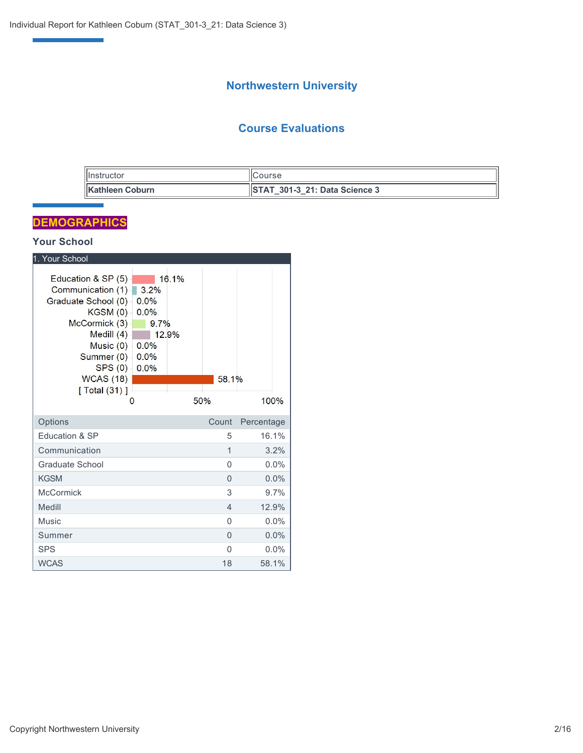# **Northwestern University**

# **Course Evaluations**

| <b>Ilnstructor</b>      | <b>ICourse</b>                |
|-------------------------|-------------------------------|
| <b>IKathleen Coburn</b> | STAT 301-3 21: Data Science 3 |

# **DEMOGRAPHICS**

e<br>Vite<br>Vite

## **Your School**

| 1. Your School                                                                                                                                                                                |                                                                        |                          |            |
|-----------------------------------------------------------------------------------------------------------------------------------------------------------------------------------------------|------------------------------------------------------------------------|--------------------------|------------|
| Education & SP (5)<br>Communication (1)<br>Graduate School (0)<br>KGSM(0)<br>McCormick (3)<br>Medill $(4)$<br>Music $(0)$ -<br>Summer (0) -<br>SPS(0)<br><b>WCAS (18)</b><br>[ Total $(31)$ ] | 16.1%<br>3.2%<br>0.0%<br>0.0%<br>9.7%<br>12.9%<br>0.0%<br>0.0%<br>0.0% | 58.1%                    |            |
| $\mathbf{0}$                                                                                                                                                                                  |                                                                        | 50%                      | 100%       |
| Options                                                                                                                                                                                       |                                                                        | Count                    | Percentage |
| Education & SP                                                                                                                                                                                |                                                                        | 5                        | 16.1%      |
| Communication                                                                                                                                                                                 |                                                                        | 1                        | 3.2%       |
| Graduate School                                                                                                                                                                               |                                                                        | 0                        | $0.0\%$    |
| <b>KGSM</b>                                                                                                                                                                                   |                                                                        | $\Omega$                 | 0.0%       |
| <b>McCormick</b>                                                                                                                                                                              |                                                                        | 3                        | 9.7%       |
| Medill                                                                                                                                                                                        |                                                                        | $\overline{\mathcal{L}}$ | 12.9%      |
| Music                                                                                                                                                                                         |                                                                        | $\Omega$                 | $0.0\%$    |
| Summer                                                                                                                                                                                        |                                                                        | $\Omega$                 | 0.0%       |
| <b>SPS</b>                                                                                                                                                                                    |                                                                        | $\Omega$                 | $0.0\%$    |
| <b>WCAS</b>                                                                                                                                                                                   |                                                                        | 18                       | 58.1%      |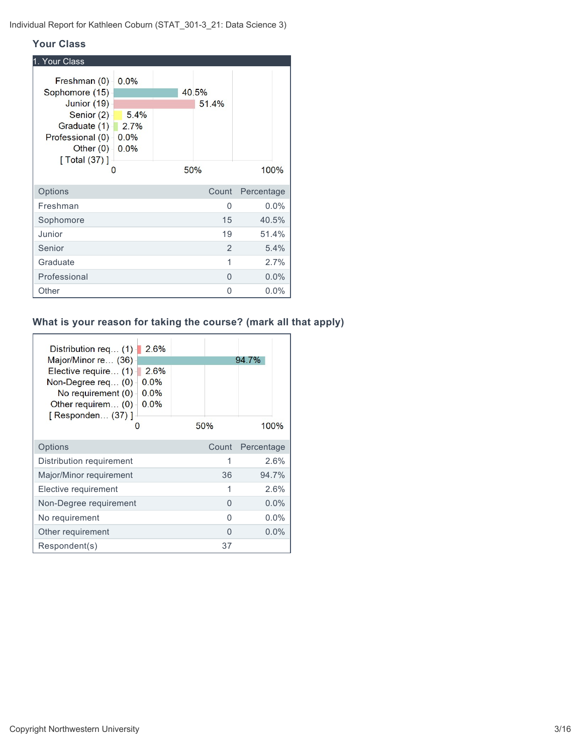#### **Your Class**

| 1. Your Class                                                                                                                                    |                                      |                |            |
|--------------------------------------------------------------------------------------------------------------------------------------------------|--------------------------------------|----------------|------------|
| Freshman (0)<br>Sophomore (15)<br>Junior (19)<br>Senior (2)<br>Graduate (1)<br>Professional (0)<br>Other $(0)$<br>$\sqrt{$ Total (37) $\sqrt{ }$ | 0.0%<br>5.4%<br>2.7%<br>0.0%<br>0.0% | 40.5%<br>51.4% |            |
| O                                                                                                                                                |                                      | 50%            | 100%       |
| Options                                                                                                                                          |                                      | Count          | Percentage |
| Freshman                                                                                                                                         |                                      | 0              | 0.0%       |
| Sophomore                                                                                                                                        |                                      | 15             | 40.5%      |
| Junior                                                                                                                                           |                                      | 19             | 51.4%      |
| Senior                                                                                                                                           |                                      | 2              | 5.4%       |
| Graduate                                                                                                                                         |                                      | 1              | 2.7%       |
| Professional                                                                                                                                     |                                      | 0              | 0.0%       |
| Other                                                                                                                                            |                                      | 0              | $0.0\%$    |

# **What is your reason for taking the course? (mark all that apply)**

| 2.6%<br>Distribution req (1)<br>Major/Minor re (36)<br>Elective require (1)<br>2.6%<br>0.0%<br>Non-Degree req $(0)$<br>0.0%<br>No requirement $(0)$<br>0.0%<br>Other requirem (0)<br>[ Responden (37) ]<br>O | 50%   | 94.7%<br>100% |
|--------------------------------------------------------------------------------------------------------------------------------------------------------------------------------------------------------------|-------|---------------|
| Options                                                                                                                                                                                                      | Count | Percentage    |
| Distribution requirement                                                                                                                                                                                     | 1     | 2.6%          |
| Major/Minor requirement                                                                                                                                                                                      | 36    | 94.7%         |
| Elective requirement                                                                                                                                                                                         | 1     | 2.6%          |
| Non-Degree requirement                                                                                                                                                                                       | 0     | $0.0\%$       |
| No requirement                                                                                                                                                                                               | U     | $0.0\%$       |
| Other requirement                                                                                                                                                                                            | O     | $0.0\%$       |
| Respondent(s)                                                                                                                                                                                                | 37    |               |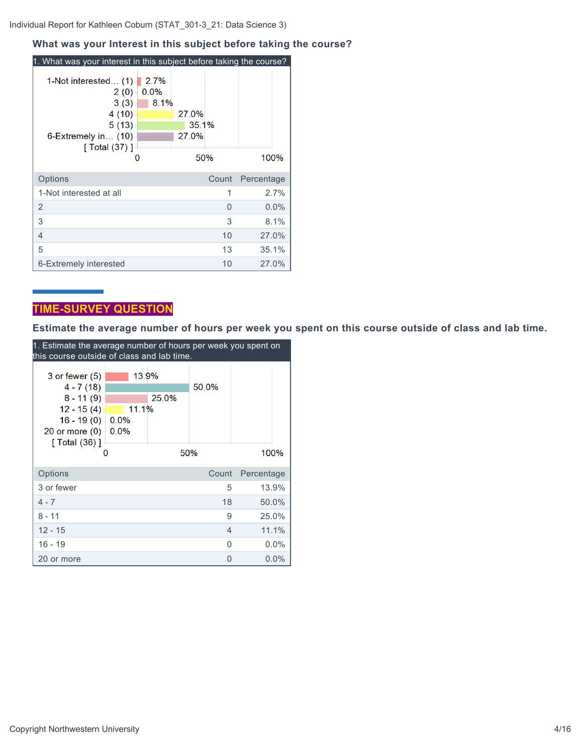#### **What was your Interest in this subject before taking the course?**

| 1. What was your interest in this subject before taking the course?                                       |                      |                                |       |            |
|-----------------------------------------------------------------------------------------------------------|----------------------|--------------------------------|-------|------------|
| 1-Not interested (1)<br>2(0)<br>3(3)<br>4(10)<br>5(13)<br>6-Extremely in (10)<br>[Total (37)]<br>$\Omega$ | 2.7%<br>0.0%<br>8.1% | 27.0%<br>35.1%<br>27.0%<br>50% |       | 100%       |
|                                                                                                           |                      |                                |       |            |
| Options                                                                                                   |                      |                                | Count | Percentage |
| 1-Not interested at all                                                                                   |                      |                                | 1     | 2.7%       |
| 2                                                                                                         |                      |                                | O     | $0.0\%$    |
| 3                                                                                                         |                      |                                | 3     | 8.1%       |
| 4                                                                                                         |                      |                                | 10    | 27.0%      |
| 5                                                                                                         |                      |                                | 13    | 35.1%      |
| 6-Extremely interested                                                                                    |                      |                                | 10    | 27.0%      |

# **TIME-SURVEY QUESTION**

**Estimate the average number of hours per week you spent on this course outside of class and lab time.**

| 1. Estimate the average number of hours per week you spent on        |              |       |          |            |  |  |  |  |
|----------------------------------------------------------------------|--------------|-------|----------|------------|--|--|--|--|
| this course outside of class and lab time.                           |              |       |          |            |  |  |  |  |
| $3$ or fewer $(5)$<br>$4 - 7(18)$                                    | 13.9%        |       | 50.0%    |            |  |  |  |  |
| $8 - 11(9)$<br>$12 - 15(4)$                                          | 11.1%        | 25.0% |          |            |  |  |  |  |
| $16 - 19(0)$<br>20 or more $(0)$<br>$\sqrt{$ Total $(36)$ $\sqrt{ }$ | 0.0%<br>0.0% |       |          |            |  |  |  |  |
| 0                                                                    |              |       | 50%      | 100%       |  |  |  |  |
| Options                                                              |              |       | Count    | Percentage |  |  |  |  |
| 3 or fewer                                                           |              |       | 5        | 13.9%      |  |  |  |  |
| $4 - 7$                                                              |              |       | 18       | 50.0%      |  |  |  |  |
| $8 - 11$                                                             |              |       | 9        | 25.0%      |  |  |  |  |
| $12 - 15$                                                            |              |       | 4        | 11.1%      |  |  |  |  |
| $16 - 19$                                                            |              |       | $\Omega$ | $0.0\%$    |  |  |  |  |
| 20 or more                                                           |              |       | 0        | 0.0%       |  |  |  |  |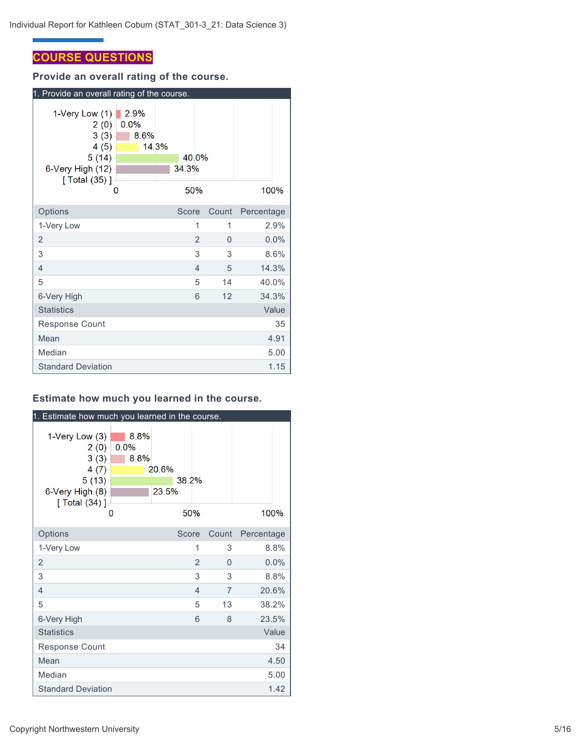# **COURSE QUESTIONS**

**Provide an overall rating of the course.**

| 1. Provide an overall rating of the course.                                                  |                      |       |                       |                |       |            |
|----------------------------------------------------------------------------------------------|----------------------|-------|-----------------------|----------------|-------|------------|
| 1-Very Low $(1)$<br>2(0)<br>3(3)<br>4(5)<br>5(14)<br>6-Very High (12)<br>[ Total (35) ]<br>O | 2.9%<br>0.0%<br>8.6% | 14.3% | 40.0%<br>34.3%<br>50% |                |       | 100%       |
| Options                                                                                      |                      |       | Score                 |                | Count | Percentage |
| 1-Very Low                                                                                   |                      |       |                       | 1              | 1     | 2.9%       |
| 2                                                                                            |                      |       |                       | $\overline{2}$ | 0     | 0.0%       |
| 3                                                                                            |                      |       |                       | 3              | 3     | 8.6%       |
| 4                                                                                            |                      |       |                       | 4              | 5     | 14.3%      |
| 5                                                                                            |                      |       |                       | 5              | 14    | 40.0%      |
| 6-Very High                                                                                  |                      |       |                       | 6              | 12    | 34.3%      |
| <b>Statistics</b>                                                                            |                      |       |                       |                |       | Value      |
| <b>Response Count</b>                                                                        |                      |       |                       |                |       | 35         |
| Mean                                                                                         |                      |       |                       |                |       | 4.91       |
| Median                                                                                       |                      |       |                       |                |       | 5.00       |
| <b>Standard Deviation</b>                                                                    |                      |       |                       |                |       | 1.15       |

# **Estimate how much you learned in the course.**

| 1. Estimate how much you learned in the course.                                          |                           |                |                |                |            |
|------------------------------------------------------------------------------------------|---------------------------|----------------|----------------|----------------|------------|
| 1-Very Low $(3)$<br>2(0)<br>3(3)<br>4(7)<br>5(13)<br>6-Very High (8)<br>[ $Total (34)$ ] | 8.8%<br>0.0%<br>8.8%<br>0 | 20.6%<br>23.5% | 38.2%<br>50%   |                | 100%       |
| Options                                                                                  |                           |                | Score          | Count          | Percentage |
| 1-Very Low                                                                               |                           |                | 1              | 3              | 8.8%       |
| $\overline{2}$                                                                           |                           |                | $\overline{2}$ | $\Omega$       | 0.0%       |
| 3                                                                                        |                           |                | 3              | 3              | 8.8%       |
| $\overline{4}$                                                                           |                           |                | $\overline{4}$ | $\overline{7}$ | 20.6%      |
| 5                                                                                        |                           |                | 5              | 13             | 38.2%      |
| 6-Very High                                                                              |                           |                | 6              | 8              | 23.5%      |
| <b>Statistics</b>                                                                        |                           |                |                |                | Value      |
| <b>Response Count</b>                                                                    |                           |                |                |                | 34         |
| Mean                                                                                     |                           |                |                |                | 4.50       |
| Median                                                                                   |                           |                |                |                | 5.00       |
| <b>Standard Deviation</b>                                                                |                           |                |                |                | 1.42       |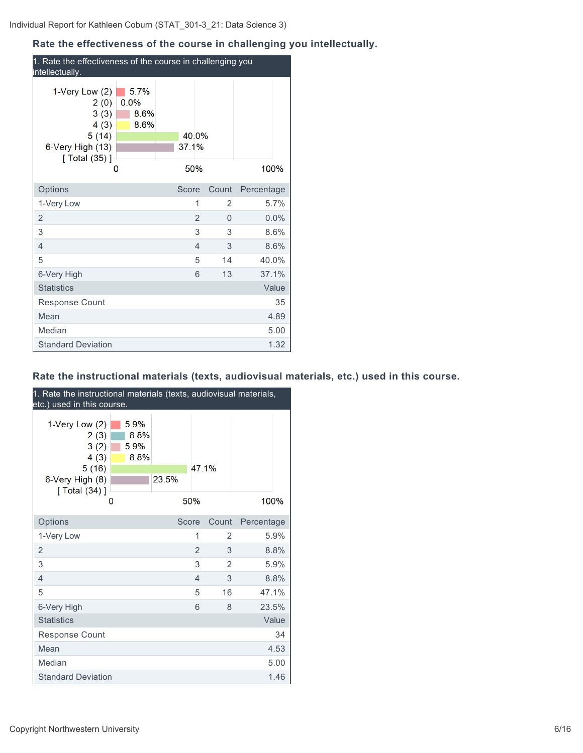# **Rate the effectiveness of the course in challenging you intellectually.**

| 1. Rate the effectiveness of the course in challenging you<br>intellectually.                |                              |              |                |       |            |  |
|----------------------------------------------------------------------------------------------|------------------------------|--------------|----------------|-------|------------|--|
| 1-Very Low $(2)$<br>2(0)<br>3(3)<br>4(3)<br>5(14)<br>6-Very High (13)<br>[ Total (35) ]<br>0 | 5.7%<br>0.0%<br>8.6%<br>8.6% | 37.1%<br>50% | 40.0%          |       | 100%       |  |
| Options                                                                                      |                              | Score        |                | Count | Percentage |  |
| 1-Very Low                                                                                   |                              |              | 1              | 2     | 5.7%       |  |
| $\overline{2}$                                                                               |                              |              | $\overline{2}$ | 0     | 0.0%       |  |
| 3                                                                                            |                              |              | 3              | 3     | 8.6%       |  |
| 4                                                                                            |                              |              | $\overline{4}$ | 3     | 8.6%       |  |
| 5                                                                                            |                              |              | 5              | 14    | 40.0%      |  |
| 6-Very High                                                                                  |                              |              | 6              | 13    | 37.1%      |  |
| <b>Statistics</b>                                                                            |                              |              |                |       | Value      |  |
| Response Count                                                                               |                              |              |                |       | 35         |  |
| Mean                                                                                         |                              |              |                |       | 4.89       |  |
| Median                                                                                       |                              |              |                |       | 5.00       |  |
| <b>Standard Deviation</b>                                                                    |                              |              |                |       | 1.32       |  |

# **Rate the instructional materials (texts, audiovisual materials, etc.) used in this course.**

| 1. Rate the instructional materials (texts, audiovisual materials,<br>etc.) used in this course. |                              |       |                |       |            |  |
|--------------------------------------------------------------------------------------------------|------------------------------|-------|----------------|-------|------------|--|
| 1-Very Low $(2)$<br>2(3)<br>3(2)<br>4(3)<br>5(16)<br>6-Very High (8)<br>[ Total (34) ]           | 5.9%<br>8.8%<br>5.9%<br>8.8% | 23.5% | 47.1%          |       |            |  |
|                                                                                                  | 0                            |       | 50%            |       | 100%       |  |
| Options                                                                                          |                              | Score |                | Count | Percentage |  |
| 1-Very Low                                                                                       |                              |       | 1              | 2     | 5.9%       |  |
| $\overline{2}$                                                                                   |                              |       | $\overline{2}$ | 3     | 8.8%       |  |
| 3                                                                                                |                              |       | 3              | 2     | 5.9%       |  |
| $\overline{4}$                                                                                   |                              |       | $\overline{4}$ | 3     | 8.8%       |  |
| 5                                                                                                |                              |       | 5              | 16    | 47.1%      |  |
| 6-Very High                                                                                      |                              |       | 6              | 8     | 23.5%      |  |
| <b>Statistics</b>                                                                                |                              |       |                |       | Value      |  |
| Response Count                                                                                   |                              |       |                |       | 34         |  |
| Mean                                                                                             |                              |       |                |       | 4.53       |  |
| Median                                                                                           |                              |       |                |       | 5.00       |  |
| <b>Standard Deviation</b>                                                                        |                              |       |                |       | 1.46       |  |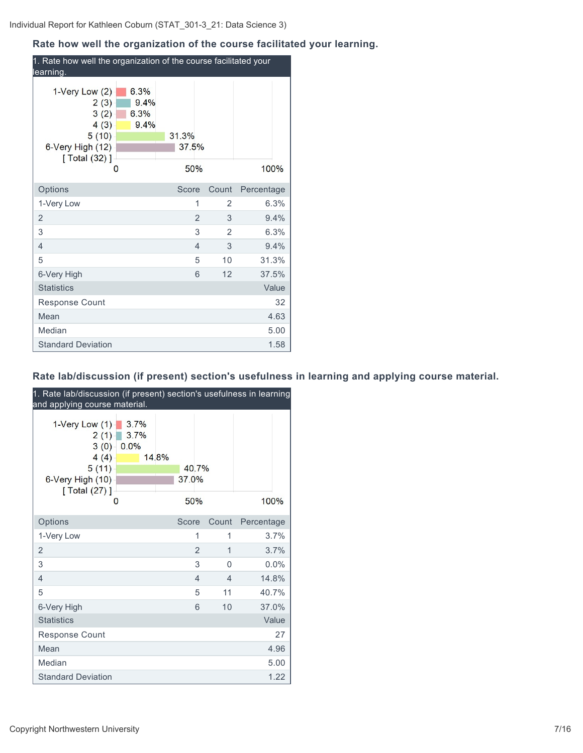# **Rate how well the organization of the course facilitated your learning.**

| 1. Rate how well the organization of the course facilitated your<br>learning.                       |                              |                       |                     |            |
|-----------------------------------------------------------------------------------------------------|------------------------------|-----------------------|---------------------|------------|
| 1-Very Low $(2)$<br>2(3)<br>3(2)<br>4(3)<br>5(10)<br>6-Very High (12)<br>$\sqrt{[Total (32)]}$<br>0 | 6.3%<br>9.4%<br>6.3%<br>9.4% | 31.3%<br>37.5%<br>50% |                     | 100%       |
| Options                                                                                             |                              | Score                 | Count               | Percentage |
| 1-Very Low                                                                                          |                              | 1                     | 2                   | 6.3%       |
| $\overline{2}$                                                                                      |                              |                       | $\overline{2}$<br>3 | 9.4%       |
| 3                                                                                                   |                              |                       | 3<br>2              | 6.3%       |
| 4                                                                                                   |                              | $\overline{4}$        | 3                   | 9.4%       |
| 5                                                                                                   |                              |                       | 5<br>10             | 31.3%      |
| 6-Very High                                                                                         |                              |                       | 6<br>12             | 37.5%      |
| <b>Statistics</b>                                                                                   |                              |                       |                     | Value      |
| Response Count                                                                                      |                              |                       |                     | 32         |
| Mean                                                                                                |                              |                       |                     | 4.63       |
| Median                                                                                              |                              |                       |                     | 5.00       |
| <b>Standard Deviation</b>                                                                           |                              |                       |                     | 1.58       |

# **Rate lab/discussion (if present) section's usefulness in learning and applying course material.**

| 1. Rate lab/discussion (if present) section's usefulness in learning<br>and applying course material. |                      |                         |                |          |            |
|-------------------------------------------------------------------------------------------------------|----------------------|-------------------------|----------------|----------|------------|
| 1-Very Low $(1)$<br>2(1)<br>3(0)<br>4(4)<br>5(11)<br>6-Very High (10)<br>[ Total (27) ]               | 3.7%<br>3.7%<br>0.0% | 14.8%<br>40.7%<br>37.0% |                |          |            |
| O                                                                                                     |                      | 50%                     |                |          | 100%       |
| Options                                                                                               |                      | Score                   |                | Count    | Percentage |
| 1-Very Low                                                                                            |                      |                         | 1              | 1        | 3.7%       |
| $\overline{2}$                                                                                        |                      |                         | $\overline{2}$ | 1        | 3.7%       |
| 3                                                                                                     |                      |                         | 3              | $\Omega$ | 0.0%       |
| $\overline{4}$                                                                                        |                      |                         | $\overline{4}$ | 4        | 14.8%      |
| 5                                                                                                     |                      |                         | 5              | 11       | 40.7%      |
| 6-Very High                                                                                           |                      |                         | 6              | 10       | 37.0%      |
| <b>Statistics</b>                                                                                     |                      |                         |                |          | Value      |
| Response Count                                                                                        |                      |                         |                |          | 27         |
| Mean                                                                                                  |                      |                         |                |          | 4.96       |
| Median                                                                                                |                      |                         |                |          | 5.00       |
| <b>Standard Deviation</b>                                                                             |                      |                         |                |          | 1.22       |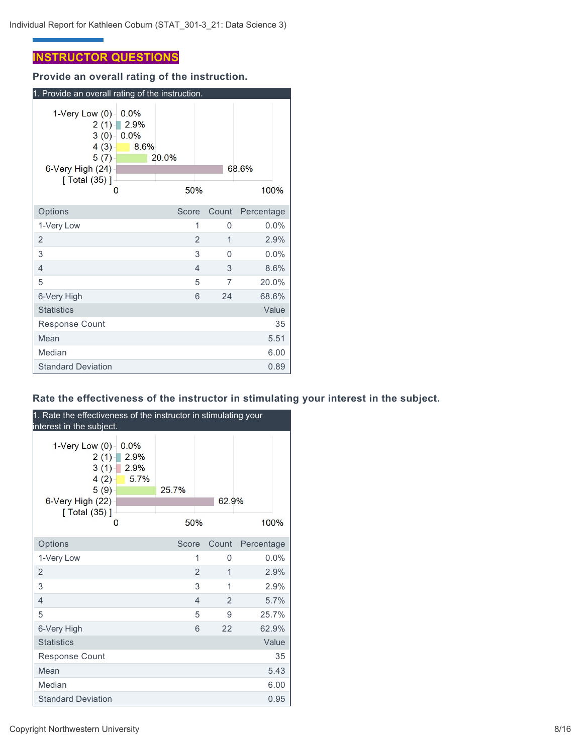# **INSTRUCTOR QUESTIONS**

**Provide an overall rating of the instruction.**

| 1. Provide an overall rating of the instruction.                                                           |                                   |              |                     |            |       |  |
|------------------------------------------------------------------------------------------------------------|-----------------------------------|--------------|---------------------|------------|-------|--|
| 1-Very Low $(0)$<br>$2(1) -$<br>3(0)<br>4(3)<br>5(7)<br>6-Very High (24)<br>$\sqrt{$ Total (35) $\sqrt{ }$ | 0.0%<br>2.9%<br>0.0%<br>8.6%<br>0 | 20.0%<br>50% |                     | 68.6%      | 100%  |  |
| Options                                                                                                    |                                   | Score        | Count               | Percentage |       |  |
| 1-Very Low                                                                                                 |                                   |              | 1<br>0              |            | 0.0%  |  |
| 2                                                                                                          |                                   |              | $\overline{2}$<br>1 |            | 2.9%  |  |
| 3                                                                                                          |                                   |              | 3<br>$\Omega$       |            | 0.0%  |  |
| 4                                                                                                          |                                   |              | $\overline{4}$<br>3 |            | 8.6%  |  |
| 5                                                                                                          |                                   |              | 5<br>7              |            | 20.0% |  |
| 6-Very High                                                                                                |                                   |              | 6<br>24             |            | 68.6% |  |
| <b>Statistics</b>                                                                                          |                                   |              |                     |            | Value |  |
| <b>Response Count</b>                                                                                      |                                   |              |                     |            | 35    |  |
| Mean                                                                                                       |                                   |              |                     |            | 5.51  |  |
| Median                                                                                                     |                                   |              |                     |            | 6.00  |  |
| <b>Standard Deviation</b>                                                                                  |                                   |              |                     |            | 0.89  |  |

# **Rate the effectiveness of the instructor in stimulating your interest in the subject.**

| 1. Rate the effectiveness of the instructor in stimulating your<br>interest in the subject.                                 |                |                |            |  |  |  |  |
|-----------------------------------------------------------------------------------------------------------------------------|----------------|----------------|------------|--|--|--|--|
| 1-Very Low $(0)$<br>0.0%<br>2.9%<br>2(1)<br>3(1)<br>2.9%<br>5.7%<br>4(2)<br>5(9)<br>6-Very High (22)<br>[ Total (35) ]<br>0 | 25.7%<br>50%   | 62.9%          | 100%       |  |  |  |  |
| Options                                                                                                                     | Score          | Count          | Percentage |  |  |  |  |
| 1-Very Low                                                                                                                  | 1              | $\Omega$       | $0.0\%$    |  |  |  |  |
| $\overline{2}$                                                                                                              | $\overline{2}$ | 1              | 2.9%       |  |  |  |  |
| 3                                                                                                                           | 3              | 1              | 2.9%       |  |  |  |  |
| $\overline{4}$                                                                                                              | $\overline{4}$ | $\mathfrak{D}$ | 5.7%       |  |  |  |  |
| 5                                                                                                                           | 5              | 9              | 25.7%      |  |  |  |  |
| 6-Very High                                                                                                                 | 6              | 22             | 62.9%      |  |  |  |  |
| <b>Statistics</b>                                                                                                           |                |                | Value      |  |  |  |  |
| <b>Response Count</b>                                                                                                       |                |                | 35         |  |  |  |  |
| Mean                                                                                                                        |                |                | 5.43       |  |  |  |  |
| Median                                                                                                                      |                |                | 6.00       |  |  |  |  |
| <b>Standard Deviation</b>                                                                                                   |                |                | 0.95       |  |  |  |  |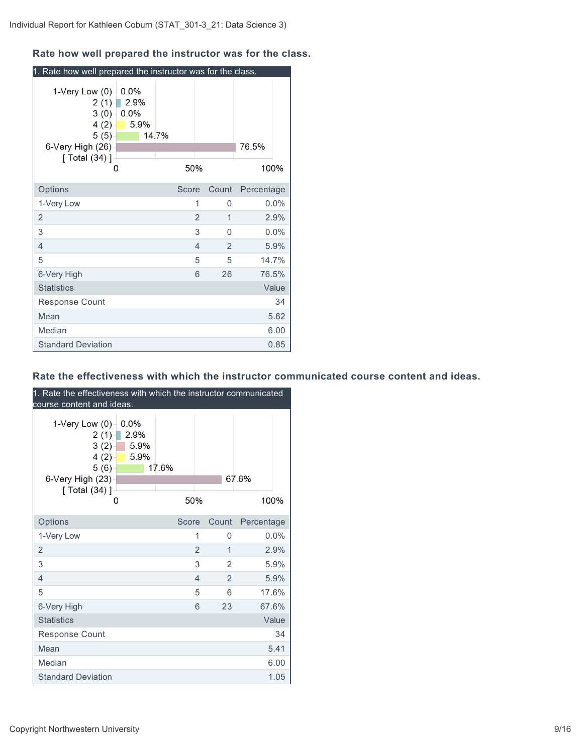### **Rate how well prepared the instructor was for the class.**

| 1. Rate how well prepared the instructor was for the class.                                              |                                   |       |                |          |            |         |
|----------------------------------------------------------------------------------------------------------|-----------------------------------|-------|----------------|----------|------------|---------|
| 1-Very Low (0)<br>2(1)<br>$3(0) -$<br>4(2)<br>5(5)<br>6-Very High (26)<br>$\sqrt{$ Total (34) $\sqrt{ }$ | 0.0%<br>2.9%<br>0.0%<br>5.9%<br>0 | 14.7% | 50%            |          | 76.5%      | 100%    |
| Options                                                                                                  |                                   | Score |                | Count    | Percentage |         |
| 1-Very Low                                                                                               |                                   |       | 1              | 0        |            | $0.0\%$ |
| $\overline{2}$                                                                                           |                                   |       | $\overline{2}$ | 1        |            | 2.9%    |
| 3                                                                                                        |                                   |       | 3              | $\Omega$ |            | 0.0%    |
| 4                                                                                                        |                                   |       | $\overline{4}$ | 2        |            | 5.9%    |
| 5                                                                                                        |                                   |       | 5              | 5        |            | 14.7%   |
| 6-Very High                                                                                              |                                   |       | 6              | 26       |            | 76.5%   |
| <b>Statistics</b>                                                                                        |                                   |       |                |          |            | Value   |
| Response Count                                                                                           |                                   |       |                |          |            | 34      |
| Mean                                                                                                     |                                   |       |                |          |            | 5.62    |
| Median                                                                                                   |                                   |       |                |          |            | 6.00    |
| <b>Standard Deviation</b>                                                                                |                                   |       |                |          |            | 0.85    |

#### **Rate the effectiveness with which the instructor communicated course content and ideas.**

| 1. Rate the effectiveness with which the instructor communicated<br>course content and ideas. |                              |              |                |                |               |
|-----------------------------------------------------------------------------------------------|------------------------------|--------------|----------------|----------------|---------------|
| 1-Very Low $(0)$<br>2(1)<br>3(2)<br>4(2)<br>5(6)<br>6-Very High (23)<br>[ Total (34) ]<br>0   | 0.0%<br>2.9%<br>5.9%<br>5.9% | 17.6%<br>50% |                |                | 67.6%<br>100% |
| Options                                                                                       |                              | Score        |                | Count          | Percentage    |
| 1-Very Low                                                                                    |                              |              | 1              | 0              | 0.0%          |
| $\overline{2}$                                                                                |                              |              | $\overline{2}$ | 1              | 2.9%          |
| 3                                                                                             |                              |              | 3              | $\overline{2}$ | 5.9%          |
| $\overline{4}$                                                                                |                              |              | $\overline{4}$ | $\overline{2}$ | 5.9%          |
| 5                                                                                             |                              |              | 5              | 6              | 17.6%         |
| 6-Very High                                                                                   |                              |              | 6              | 23             | 67.6%         |
| <b>Statistics</b>                                                                             |                              |              |                |                | Value         |
| Response Count                                                                                |                              |              |                |                | 34            |
| Mean                                                                                          |                              |              |                |                | 5.41          |
| Median                                                                                        |                              |              |                |                | 6.00          |
| <b>Standard Deviation</b>                                                                     |                              |              |                |                | 1.05          |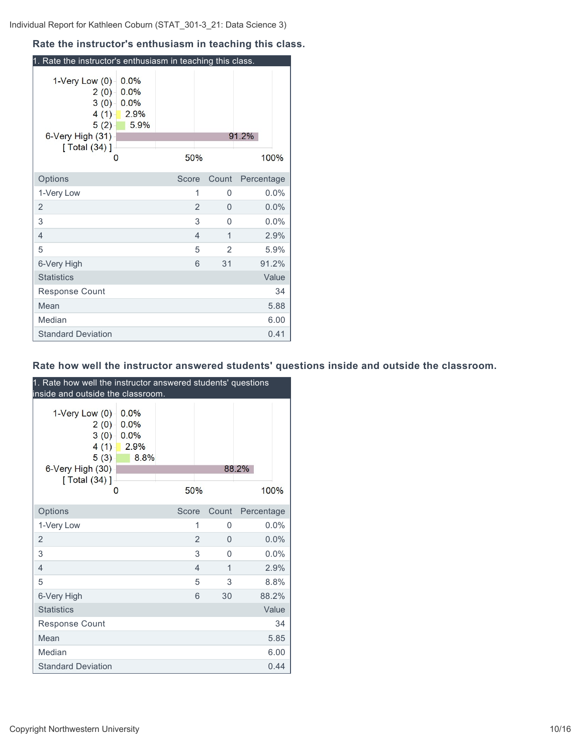#### **Rate the instructor's enthusiasm in teaching this class.**

| 1. Rate the instructor's enthusiasm in teaching this class.                                     |                                      |                |                |            |
|-------------------------------------------------------------------------------------------------|--------------------------------------|----------------|----------------|------------|
| $1$ -Very Low $(0)$<br>$2(0) -$<br>3(0)<br>4(1)<br>5(2)<br>6-Very High (31)<br>[ $Total (34)$ ] | 0.0%<br>0.0%<br>0.0%<br>2.9%<br>5.9% |                |                | 91.2%      |
| 0                                                                                               |                                      | 50%            |                | 100%       |
| Options                                                                                         |                                      | Score          | Count          | Percentage |
| 1-Very Low                                                                                      |                                      | 1              | 0              | $0.0\%$    |
| 2                                                                                               |                                      | $\overline{2}$ | 0              | 0.0%       |
| 3                                                                                               |                                      | 3              | 0              | 0.0%       |
| 4                                                                                               |                                      | 4              | $\mathbf 1$    | 2.9%       |
| 5                                                                                               |                                      | 5              | $\overline{2}$ | 5.9%       |
| 6-Very High                                                                                     |                                      | 6              | 31             | 91.2%      |
| <b>Statistics</b>                                                                               |                                      |                |                | Value      |
| <b>Response Count</b>                                                                           |                                      |                |                | 34         |
| Mean                                                                                            |                                      |                |                | 5.88       |
| Median                                                                                          |                                      |                |                | 6.00       |
| <b>Standard Deviation</b>                                                                       |                                      |                |                | 0.41       |

# **Rate how well the instructor answered students' questions inside and outside the classroom.**

| 1. Rate how well the instructor answered students' questions<br>inside and outside the classroom. |                                      |       |   |          |            |       |  |
|---------------------------------------------------------------------------------------------------|--------------------------------------|-------|---|----------|------------|-------|--|
| 1-Very Low (0)<br>2(0)<br>3(0)<br>$4(1) -$<br>$5(3) -$<br>6-Very High (30)<br>[ Total (34) ]      | 0.0%<br>0.0%<br>0.0%<br>2.9%<br>8.8% |       |   |          | 88.2%      |       |  |
| 0                                                                                                 |                                      | 50%   |   |          |            | 100%  |  |
| Options                                                                                           |                                      | Score |   | Count    | Percentage |       |  |
| 1-Very Low                                                                                        |                                      |       | 1 | 0        |            | 0.0%  |  |
| 2                                                                                                 |                                      |       | 2 | $\Omega$ |            | 0.0%  |  |
| 3                                                                                                 |                                      |       | 3 | $\Omega$ |            | 0.0%  |  |
| $\overline{4}$                                                                                    |                                      |       | 4 | 1        |            | 2.9%  |  |
| 5                                                                                                 |                                      |       | 5 | 3        |            | 8.8%  |  |
| 6-Very High                                                                                       |                                      |       | 6 | 30       |            | 88.2% |  |
| <b>Statistics</b>                                                                                 |                                      |       |   |          |            | Value |  |
| <b>Response Count</b>                                                                             |                                      |       |   |          |            | 34    |  |
| Mean                                                                                              |                                      |       |   |          |            | 5.85  |  |
| Median                                                                                            |                                      |       |   |          |            | 6.00  |  |
| <b>Standard Deviation</b>                                                                         |                                      |       |   |          |            | 0.44  |  |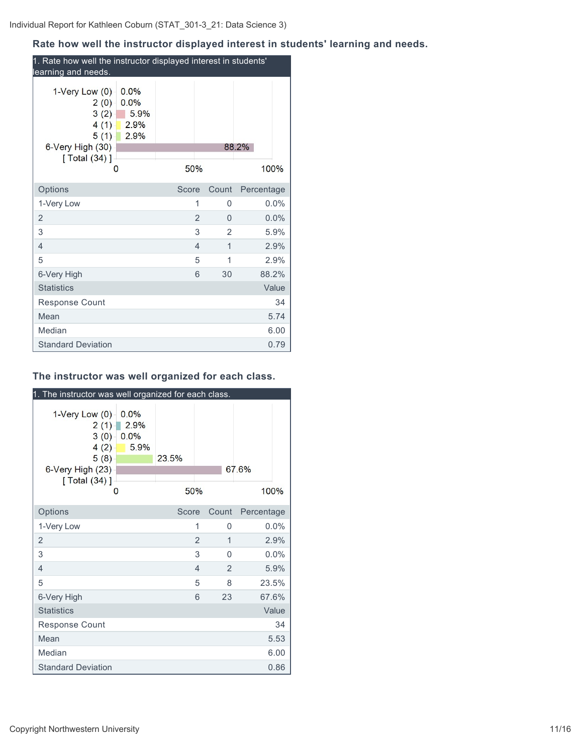# **Rate how well the instructor displayed interest in students' learning and needs.**

| 1. Rate how well the instructor displayed interest in students'<br>learning and needs.                                                        |       |                |               |  |  |  |  |
|-----------------------------------------------------------------------------------------------------------------------------------------------|-------|----------------|---------------|--|--|--|--|
| 1-Very Low $(0)$<br>0.0%<br>0.0%<br>2(0)<br>$3(2) -$<br>5.9%<br>$4(1) -$<br>2.9%<br>5(1)<br>2.9%<br>6-Very High (30)<br>[ $Total (34)$ ]<br>0 | 50%   |                | 88.2%<br>100% |  |  |  |  |
| Options                                                                                                                                       | Score | Count          | Percentage    |  |  |  |  |
| 1-Very Low                                                                                                                                    | 1     | 0              | $0.0\%$       |  |  |  |  |
| 2                                                                                                                                             | 2     | $\Omega$       | 0.0%          |  |  |  |  |
| 3                                                                                                                                             | 3     | $\overline{2}$ | 5.9%          |  |  |  |  |
| 4                                                                                                                                             | 4     | 1              | 2.9%          |  |  |  |  |
| 5                                                                                                                                             | 5     | 1              | 2.9%          |  |  |  |  |
| 6-Very High                                                                                                                                   | 6     | 30             | 88.2%         |  |  |  |  |
| <b>Statistics</b>                                                                                                                             |       |                | Value         |  |  |  |  |
| <b>Response Count</b>                                                                                                                         |       |                | 34            |  |  |  |  |
| Mean                                                                                                                                          |       |                | 5.74          |  |  |  |  |
| Median                                                                                                                                        |       |                | 6.00          |  |  |  |  |
| <b>Standard Deviation</b>                                                                                                                     |       |                | 0.79          |  |  |  |  |

# **The instructor was well organized for each class.**

| 1. The instructor was well organized for each class.                                                   |                                   |              |                |       |               |
|--------------------------------------------------------------------------------------------------------|-----------------------------------|--------------|----------------|-------|---------------|
| 1-Very Low $(0)$<br>2(1)<br>3(0)<br>4(2)<br>5(8)<br>6-Very High (23)<br>$\sqrt{$ Total (34) $\sqrt{ }$ | 0.0%<br>2.9%<br>0.0%<br>5.9%<br>0 | 23.5%<br>50% |                |       | 67.6%<br>100% |
| Options                                                                                                |                                   | Score        |                | Count | Percentage    |
| 1-Very Low                                                                                             |                                   |              | 1              | 0     | 0.0%          |
| 2                                                                                                      |                                   |              | $\overline{2}$ | 1     | 2.9%          |
| 3                                                                                                      |                                   |              | 3              | 0     | 0.0%          |
| $\overline{4}$                                                                                         |                                   |              | $\overline{4}$ | 2     | 5.9%          |
| 5                                                                                                      |                                   |              | 5              | 8     | 23.5%         |
| 6-Very High                                                                                            |                                   |              | 6              | 23    | 67.6%         |
| <b>Statistics</b>                                                                                      |                                   |              |                |       | Value         |
| <b>Response Count</b>                                                                                  |                                   |              |                |       | 34            |
| Mean                                                                                                   |                                   |              |                |       | 5.53          |
| Median                                                                                                 |                                   |              |                |       | 6.00          |
| <b>Standard Deviation</b>                                                                              |                                   |              |                |       | 0.86          |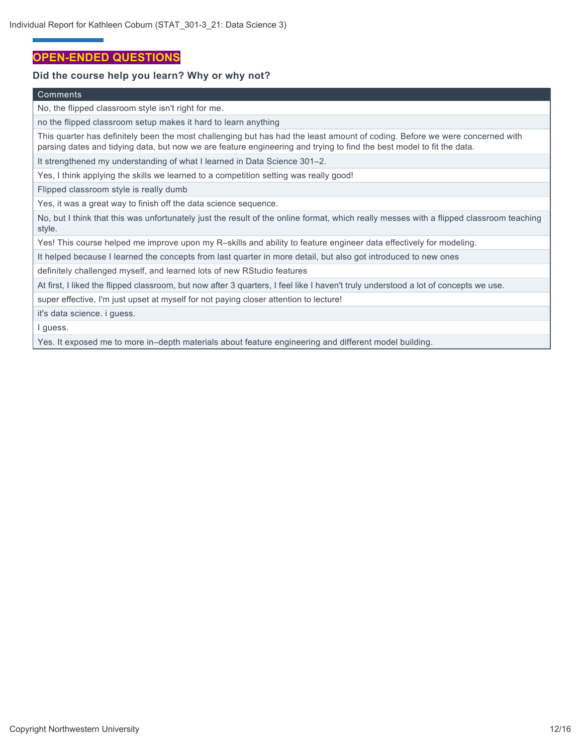# **OPEN-ENDED QUESTIONS**

#### **Did the course help you learn? Why or why not?**

#### Comments

No, the flipped classroom style isn't right for me.

no the flipped classroom setup makes it hard to learn anything

This quarter has definitely been the most challenging but has had the least amount of coding. Before we were concerned with parsing dates and tidying data, but now we are feature engineering and trying to find the best model to fit the data.

It strengthened my understanding of what I learned in Data Science 301–2.

Yes, I think applying the skills we learned to a competition setting was really good!

Flipped classroom style is really dumb

Yes, it was a great way to finish off the data science sequence.

No, but I think that this was unfortunately just the result of the online format, which really messes with a flipped classroom teaching style.

Yes! This course helped me improve upon my R–skills and ability to feature engineer data effectively for modeling.

It helped because I learned the concepts from last quarter in more detail, but also got introduced to new ones

definitely challenged myself, and learned lots of new RStudio features

At first, I liked the flipped classroom, but now after 3 quarters, I feel like I haven't truly understood a lot of concepts we use.

super effective, I'm just upset at myself for not paying closer attention to lecture!

it's data science. i guess.

I guess.

Yes. It exposed me to more in–depth materials about feature engineering and different model building.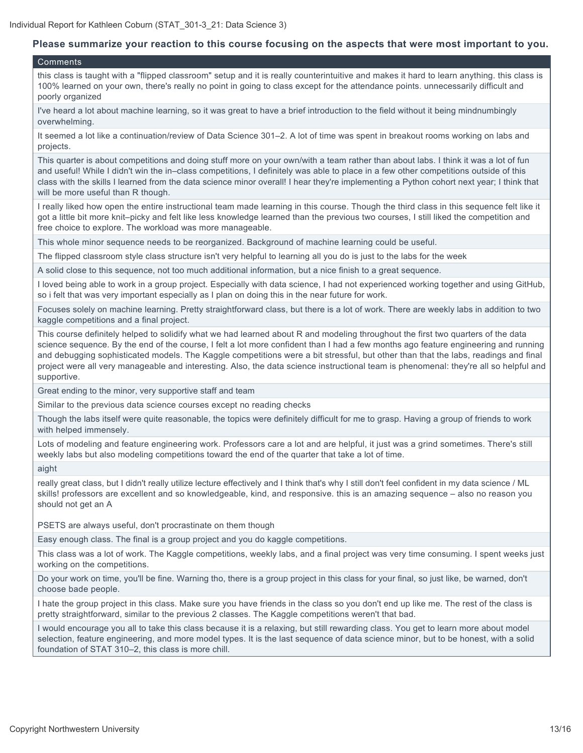#### **Please summarize your reaction to this course focusing on the aspects that were most important to you.**

#### Comments

this class is taught with a "flipped classroom" setup and it is really counterintuitive and makes it hard to learn anything. this class is 100% learned on your own, there's really no point in going to class except for the attendance points. unnecessarily difficult and poorly organized

I've heard a lot about machine learning, so it was great to have a brief introduction to the field without it being mindnumbingly overwhelming.

It seemed a lot like a continuation/review of Data Science 301–2. A lot of time was spent in breakout rooms working on labs and projects.

This quarter is about competitions and doing stuff more on your own/with a team rather than about labs. I think it was a lot of fun and useful! While I didn't win the in–class competitions, I definitely was able to place in a few other competitions outside of this class with the skills I learned from the data science minor overall! I hear they're implementing a Python cohort next year; I think that will be more useful than R though.

I really liked how open the entire instructional team made learning in this course. Though the third class in this sequence felt like it got a little bit more knit–picky and felt like less knowledge learned than the previous two courses, I still liked the competition and free choice to explore. The workload was more manageable.

This whole minor sequence needs to be reorganized. Background of machine learning could be useful.

The flipped classroom style class structure isn't very helpful to learning all you do is just to the labs for the week

A solid close to this sequence, not too much additional information, but a nice finish to a great sequence.

I loved being able to work in a group project. Especially with data science, I had not experienced working together and using GitHub, so i felt that was very important especially as I plan on doing this in the near future for work.

Focuses solely on machine learning. Pretty straightforward class, but there is a lot of work. There are weekly labs in addition to two kaggle competitions and a final project.

This course definitely helped to solidify what we had learned about R and modeling throughout the first two quarters of the data science sequence. By the end of the course, I felt a lot more confident than I had a few months ago feature engineering and running and debugging sophisticated models. The Kaggle competitions were a bit stressful, but other than that the labs, readings and final project were all very manageable and interesting. Also, the data science instructional team is phenomenal: they're all so helpful and supportive.

Great ending to the minor, very supportive staff and team

Similar to the previous data science courses except no reading checks

Though the labs itself were quite reasonable, the topics were definitely difficult for me to grasp. Having a group of friends to work with helped immensely.

Lots of modeling and feature engineering work. Professors care a lot and are helpful, it just was a grind sometimes. There's still weekly labs but also modeling competitions toward the end of the quarter that take a lot of time.

aight

really great class, but I didn't really utilize lecture effectively and I think that's why I still don't feel confident in my data science / ML skills! professors are excellent and so knowledgeable, kind, and responsive. this is an amazing sequence – also no reason you should not get an A

PSETS are always useful, don't procrastinate on them though

Easy enough class. The final is a group project and you do kaggle competitions.

This class was a lot of work. The Kaggle competitions, weekly labs, and a final project was very time consuming. I spent weeks just working on the competitions.

Do your work on time, you'll be fine. Warning tho, there is a group project in this class for your final, so just like, be warned, don't choose bade people.

I hate the group project in this class. Make sure you have friends in the class so you don't end up like me. The rest of the class is pretty straightforward, similar to the previous 2 classes. The Kaggle competitions weren't that bad.

I would encourage you all to take this class because it is a relaxing, but still rewarding class. You get to learn more about model selection, feature engineering, and more model types. It is the last sequence of data science minor, but to be honest, with a solid foundation of STAT 310–2, this class is more chill.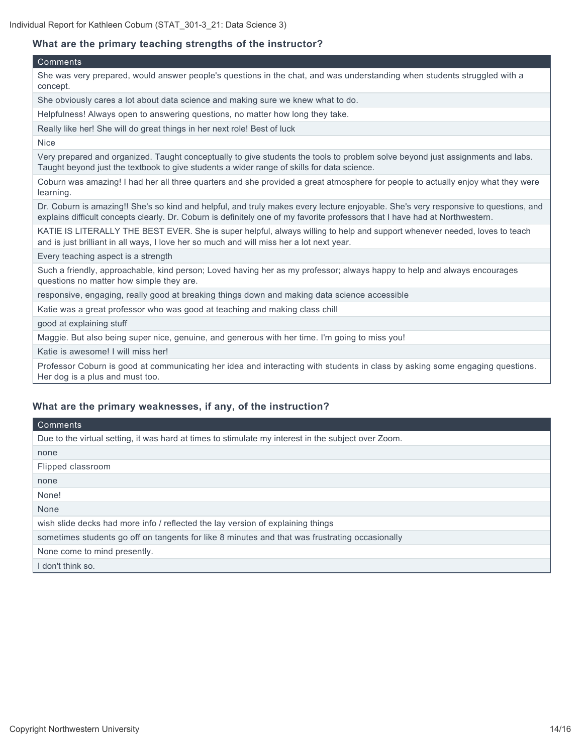#### **What are the primary teaching strengths of the instructor?**

#### **Comments**

She was very prepared, would answer people's questions in the chat, and was understanding when students struggled with a concept.

She obviously cares a lot about data science and making sure we knew what to do.

Helpfulness! Always open to answering questions, no matter how long they take.

Really like her! She will do great things in her next role! Best of luck

Nice

Very prepared and organized. Taught conceptually to give students the tools to problem solve beyond just assignments and labs. Taught beyond just the textbook to give students a wider range of skills for data science.

Coburn was amazing! I had her all three quarters and she provided a great atmosphere for people to actually enjoy what they were learning.

Dr. Coburn is amazing!! She's so kind and helpful, and truly makes every lecture enjoyable. She's very responsive to questions, and explains difficult concepts clearly. Dr. Coburn is definitely one of my favorite professors that I have had at Northwestern.

KATIE IS LITERALLY THE BEST EVER. She is super helpful, always willing to help and support whenever needed, loves to teach and is just brilliant in all ways, I love her so much and will miss her a lot next year.

Every teaching aspect is a strength

Such a friendly, approachable, kind person; Loved having her as my professor; always happy to help and always encourages questions no matter how simple they are.

responsive, engaging, really good at breaking things down and making data science accessible

Katie was a great professor who was good at teaching and making class chill

good at explaining stuff

Maggie. But also being super nice, genuine, and generous with her time. I'm going to miss you!

Katie is awesome! I will miss her!

Professor Coburn is good at communicating her idea and interacting with students in class by asking some engaging questions. Her dog is a plus and must too.

#### **What are the primary weaknesses, if any, of the instruction?**

| Comments                                                                                            |
|-----------------------------------------------------------------------------------------------------|
| Due to the virtual setting, it was hard at times to stimulate my interest in the subject over Zoom. |
| none                                                                                                |
| Flipped classroom                                                                                   |
| none                                                                                                |
| None!                                                                                               |
| None                                                                                                |
| wish slide decks had more info / reflected the lay version of explaining things                     |
| sometimes students go off on tangents for like 8 minutes and that was frustrating occasionally      |
| None come to mind presently.                                                                        |
| I don't think so.                                                                                   |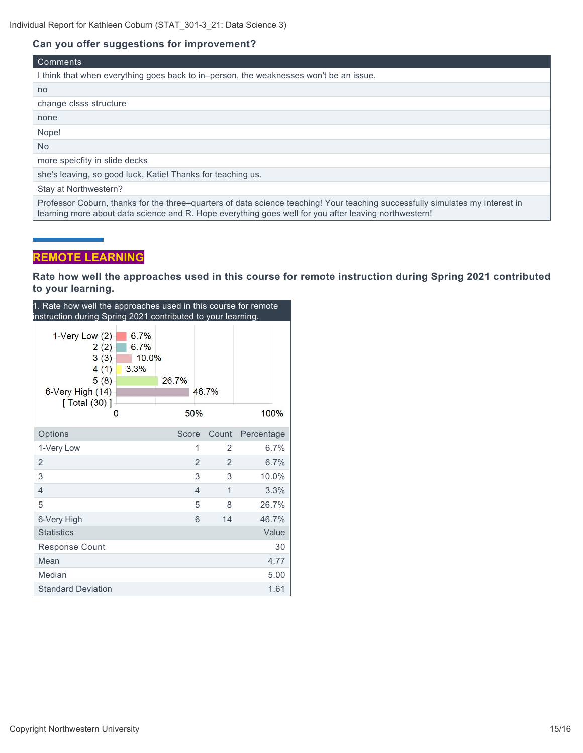#### **Can you offer suggestions for improvement?**

| <b>Comments</b>                                                                                                                                                                                                                        |
|----------------------------------------------------------------------------------------------------------------------------------------------------------------------------------------------------------------------------------------|
| I think that when everything goes back to in-person, the weaknesses won't be an issue.                                                                                                                                                 |
| no.                                                                                                                                                                                                                                    |
| change clsss structure                                                                                                                                                                                                                 |
| none                                                                                                                                                                                                                                   |
| Nope!                                                                                                                                                                                                                                  |
| No.                                                                                                                                                                                                                                    |
| more speicfity in slide decks                                                                                                                                                                                                          |
| she's leaving, so good luck, Katie! Thanks for teaching us.                                                                                                                                                                            |
| Stay at Northwestern?                                                                                                                                                                                                                  |
| Professor Coburn, thanks for the three–quarters of data science teaching! Your teaching successfully simulates my interest in<br>learning more about data science and R. Hope everything goes well for you after leaving northwestern! |

# **REMOTE LEARNING**

**Rate how well the approaches used in this course for remote instruction during Spring 2021 contributed to your learning.**

| 1. Rate how well the approaches used in this course for remote<br>instruction during Spring 2021 contributed to your learning. |                |                |            |
|--------------------------------------------------------------------------------------------------------------------------------|----------------|----------------|------------|
| 1-Very Low $(2)$<br>6.7%<br>6.7%<br>2(2)<br>3(3)<br>10.0%<br>4(1)<br>3.3%<br>5(8)<br>6-Very High (14)<br>[ Total (30) ]        | 26.7%<br>50%   | 46.7%          | 100%       |
| Options                                                                                                                        | Score          | Count          | Percentage |
| 1-Very Low                                                                                                                     | 1              | 2              | 6.7%       |
| 2                                                                                                                              | $\overline{2}$ | $\overline{2}$ | 6.7%       |
| 3                                                                                                                              | 3              | 3              | 10.0%      |
| 4                                                                                                                              | $\overline{4}$ | 1              | 3.3%       |
| 5                                                                                                                              | 5              | 8              | 26.7%      |
| 6-Very High                                                                                                                    | 6              | 14             | 46.7%      |
| <b>Statistics</b>                                                                                                              |                |                | Value      |
| Response Count                                                                                                                 |                |                | 30         |
| Mean                                                                                                                           |                |                | 4.77       |
| Median                                                                                                                         |                |                | 5.00       |
| <b>Standard Deviation</b>                                                                                                      |                |                | 1.61       |